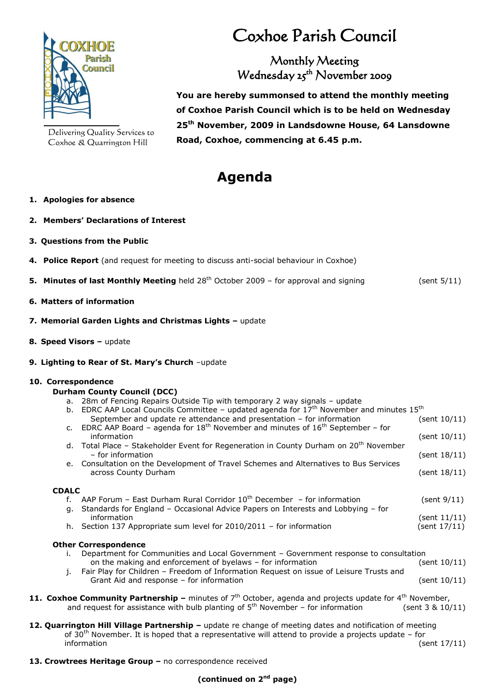

Delivering Quality Services to Coxhoe & Quarrington Hill

# Coxhoe Parish Council

Monthly Meeting Wednesday 25<sup>th</sup> November 2009

**You are hereby summonsed to attend the monthly meeting of Coxhoe Parish Council which is to be held on Wednesday 25 th November, 2009 in Landsdowne House, 64 Lansdowne Road, Coxhoe, commencing at 6.45 p.m.**

## **Agenda**

#### **1. Apologies for absence**

- **2. Members' Declarations of Interest**
- **3. Questions from the Public**
- **4. Police Report** (and request for meeting to discuss anti-social behaviour in Coxhoe)
- **5. Minutes of last Monthly Meeting** held 28<sup>th</sup> October 2009 for approval and signing (sent 5/11)
- **6. Matters of information**
- **7. Memorial Garden Lights and Christmas Lights –** update
- **8. Speed Visors –** update
- **9. Lighting to Rear of St. Mary's Church** –update

#### **10. Correspondence**

#### **Durham County Council (DCC)**

a. 28m of Fencing Repairs Outside Tip with temporary 2 way signals – update

|              | b. EDRC AAP Local Councils Committee - updated agenda for $17^{th}$ November and minutes $15^{th}$                        |              |  |
|--------------|---------------------------------------------------------------------------------------------------------------------------|--------------|--|
|              | September and update re attendance and presentation - for information                                                     | (sent 10/11) |  |
|              | c. EDRC AAP Board – agenda for 18 <sup>th</sup> November and minutes of 16 <sup>th</sup> September – for                  |              |  |
|              | information<br>d. Total Place - Stakeholder Event for Regeneration in County Durham on 20 <sup>th</sup> November          | (sent 10/11) |  |
|              | - for information                                                                                                         | (sent 18/11) |  |
|              | e. Consultation on the Development of Travel Schemes and Alternatives to Bus Services                                     |              |  |
|              | across County Durham                                                                                                      | (sent 18/11) |  |
| <b>CDALC</b> |                                                                                                                           |              |  |
|              |                                                                                                                           |              |  |
| f.           | AAP Forum - East Durham Rural Corridor $10^{th}$ December - for information                                               | (sent 9/11)  |  |
| а.           | Standards for England - Occasional Advice Papers on Interests and Lobbying - for<br>information                           | (sent 11/11) |  |
|              | h. Section 137 Appropriate sum level for $2010/2011$ – for information                                                    |              |  |
|              |                                                                                                                           | (sent 17/11) |  |
|              | <b>Other Correspondence</b>                                                                                               |              |  |
| Ъ.           | Department for Communities and Local Government - Government response to consultation                                     |              |  |
|              | on the making and enforcement of byelaws - for information                                                                | (sent 10/11) |  |
|              | j. Fair Play for Children - Freedom of Information Request on issue of Leisure Trusts and                                 |              |  |
|              | Grant Aid and response – for information                                                                                  | (sent 10/11) |  |
|              | oxhoe Community Partnershin – minutes of $7^{\text{th}}$ October, agenda and projects undate for $4^{\text{th}}$ Newember |              |  |

- **11. Coxhoe Community Partnership –** minutes of 7<sup>th</sup> October, agenda and projects update for 4<sup>th</sup> November, and request for assistance with bulb planting of  $5^{th}$  November – for information (sent 3 & 10/11)
- **12. Quarrington Hill Village Partnership –** update re change of meeting dates and notification of meeting of  $30<sup>th</sup>$  November. It is hoped that a representative will attend to provide a projects update – for information (sent 17/11)
- **13. Crowtrees Heritage Group –** no correspondence received